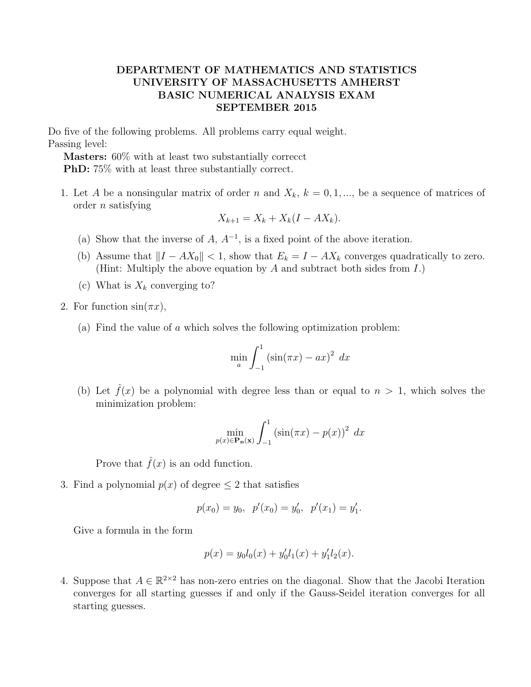## DEPARTMENT OF MATHEMATICS AND STATISTICS UNIVERSITY OF MASSACHUSETTS AMHERST BASIC NUMERICAL ANALYSIS EXAM SEPTEMBER 2015

Do five of the following problems. All problems carry equal weight. Passing level:

Masters: 60% with at least two substantially correcct PhD: 75% with at least three substantially correct.

1. Let A be a nonsingular matrix of order n and  $X_k$ ,  $k = 0, 1, \dots$ , be a sequence of matrices of order n satisfying

$$
X_{k+1} = X_k + X_k(I - AX_k).
$$

- (a) Show that the inverse of  $A, A^{-1}$ , is a fixed point of the above iteration.
- (b) Assume that  $||I AX_0|| < 1$ , show that  $E_k = I AX_k$  converges quadratically to zero. (Hint: Multiply the above equation by  $A$  and subtract both sides from  $I$ .)
- (c) What is  $X_k$  converging to?
- 2. For function  $sin(\pi x)$ ,
	- (a) Find the value of a which solves the following optimization problem:

$$
\min_{a} \int_{-1}^{1} \left( \sin(\pi x) - ax \right)^{2} dx
$$

(b) Let  $\hat{f}(x)$  be a polynomial with degree less than or equal to  $n > 1$ , which solves the minimization problem:

$$
\min_{p(x)\in\mathbf{P_n(x)}} \int_{-1}^1 \left(\sin(\pi x) - p(x)\right)^2 dx
$$

Prove that  $\hat{f}(x)$  is an odd function.

3. Find a polynomial  $p(x)$  of degree  $\leq 2$  that satisfies

$$
p(x_0) = y_0
$$
,  $p'(x_0) = y'_0$ ,  $p'(x_1) = y'_1$ .

Give a formula in the form

$$
p(x) = y_0 l_0(x) + y'_0 l_1(x) + y'_1 l_2(x).
$$

4. Suppose that  $A \in \mathbb{R}^{2 \times 2}$  has non-zero entries on the diagonal. Show that the Jacobi Iteration converges for all starting guesses if and only if the Gauss-Seidel iteration converges for all starting guesses.